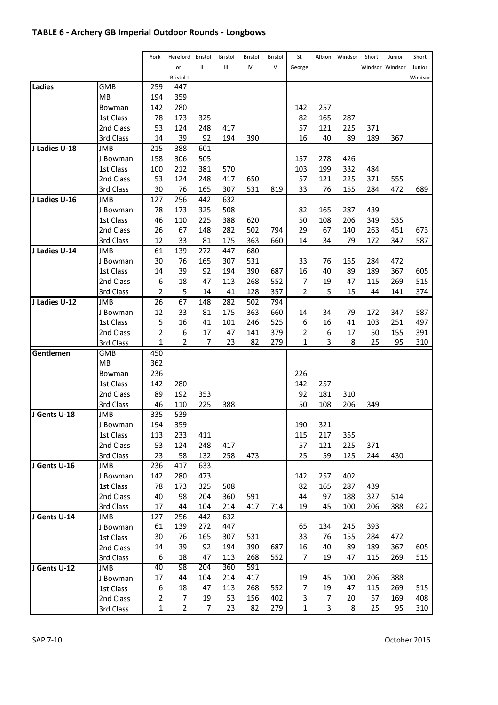# TABLE 6 - Archery GB Imperial Outdoor Rounds - Longbows

|               |            | York           | Hereford         | Bristol | Bristol | Bristol | Bristol | St             | Albion         | Windsor | Short | Junior          | Short   |
|---------------|------------|----------------|------------------|---------|---------|---------|---------|----------------|----------------|---------|-------|-----------------|---------|
|               |            |                | or               | Ш       | Ш       | IV      | $\vee$  | George         |                |         |       | Windsor Windsor | Junior  |
|               |            |                | <b>Bristol I</b> |         |         |         |         |                |                |         |       |                 | Windsor |
| Ladies        | <b>GMB</b> | 259            | 447              |         |         |         |         |                |                |         |       |                 |         |
|               | MB         | 194            | 359              |         |         |         |         |                |                |         |       |                 |         |
|               | Bowman     | 142            | 280              |         |         |         |         | 142            | 257            |         |       |                 |         |
|               | 1st Class  | 78             | 173              | 325     |         |         |         | 82             | 165            | 287     |       |                 |         |
|               | 2nd Class  | 53             | 124              | 248     | 417     |         |         | 57             | 121            | 225     | 371   |                 |         |
|               | 3rd Class  | 14             | 39               | 92      | 194     | 390     |         | 16             | 40             | 89      | 189   | 367             |         |
| J Ladies U-18 | JMB        | 215            | 388              | 601     |         |         |         |                |                |         |       |                 |         |
|               | J Bowman   | 158            | 306              | 505     |         |         |         | 157            | 278            | 426     |       |                 |         |
|               | 1st Class  | 100            | 212              | 381     | 570     |         |         | 103            | 199            | 332     | 484   |                 |         |
|               | 2nd Class  | 53             | 124              | 248     | 417     | 650     |         | 57             | 121            | 225     | 371   | 555             |         |
|               | 3rd Class  | 30             | 76               | 165     | 307     | 531     | 819     | 33             | 76             | 155     | 284   | 472             | 689     |
| J Ladies U-16 | JMB        | 127            | 256              | 442     | 632     |         |         |                |                |         |       |                 |         |
|               | J Bowman   | 78             | 173              | 325     | 508     |         |         | 82             | 165            | 287     | 439   |                 |         |
|               | 1st Class  | 46             | 110              | 225     | 388     | 620     |         | 50             | 108            | 206     | 349   | 535             |         |
|               | 2nd Class  | 26             | 67               | 148     | 282     | 502     | 794     | 29             | 67             | 140     | 263   | 451             | 673     |
|               | 3rd Class  | 12             | 33               | 81      | 175     | 363     | 660     | 14             | 34             | 79      | 172   | 347             | 587     |
| J Ladies U-14 | <b>JMB</b> | 61             | 139              | 272     | 447     | 680     |         |                |                |         |       |                 |         |
|               | J Bowman   | 30             | 76               | 165     | 307     | 531     |         | 33             | 76             | 155     | 284   | 472             |         |
|               | 1st Class  | 14             | 39               | 92      | 194     | 390     | 687     | 16             | 40             | 89      | 189   | 367             | 605     |
|               | 2nd Class  | 6              | 18               | 47      | 113     | 268     | 552     | 7              | 19             | 47      | 115   | 269             | 515     |
|               | 3rd Class  | $\overline{2}$ | 5                | 14      | 41      | 128     | 357     | $\overline{2}$ | 5              | 15      | 44    | 141             | 374     |
| J Ladies U-12 | <b>JMB</b> | 26             | 67               | 148     | 282     | 502     | 794     |                |                |         |       |                 |         |
|               | J Bowman   | 12             | 33               | 81      | 175     | 363     | 660     | 14             | 34             | 79      | 172   | 347             | 587     |
|               | 1st Class  | 5              | 16               | 41      | 101     | 246     | 525     | 6              | 16             | 41      | 103   | 251             | 497     |
|               | 2nd Class  | $\overline{2}$ | 6                | 17      | 47      | 141     | 379     | 2              | 6              | 17      | 50    | 155             | 391     |
|               | 3rd Class  | $\mathbf 1$    | 2                | 7       | 23      | 82      | 279     | 1              | 3              | 8       | 25    | 95              | 310     |
| Gentlemen     | <b>GMB</b> | 450            |                  |         |         |         |         |                |                |         |       |                 |         |
|               | MВ         | 362            |                  |         |         |         |         |                |                |         |       |                 |         |
|               | Bowman     | 236            |                  |         |         |         |         | 226            |                |         |       |                 |         |
|               | 1st Class  | 142            | 280              |         |         |         |         | 142            | 257            |         |       |                 |         |
|               | 2nd Class  | 89             | 192              | 353     |         |         |         | 92             | 181            | 310     |       |                 |         |
|               | 3rd Class  | 46             | 110              | 225     | 388     |         |         | 50             | 108            | 206     | 349   |                 |         |
| J Gents U-18  | <b>JMB</b> | 335            | 539              |         |         |         |         |                |                |         |       |                 |         |
|               | J Bowman   | 194            | 359              |         |         |         |         | 190            | 321            |         |       |                 |         |
|               | 1st Class  | 113            | 233              | 411     |         |         |         | 115            | 217            | 355     |       |                 |         |
|               | 2nd Class  | 53             | 124              | 248     | 417     |         |         | 57             | 121            | 225     | 371   |                 |         |
|               | 3rd Class  | 23             | 58               | 132     | 258     | 473     |         | 25             | 59             | 125     | 244   | 430             |         |
| J Gents U-16  | <b>JMB</b> | 236            | 417              | 633     |         |         |         |                |                |         |       |                 |         |
|               | J Bowman   | 142            | 280              | 473     |         |         |         | 142            | 257            | 402     |       |                 |         |
|               | 1st Class  | 78             | 173              | 325     | 508     |         |         | 82             | 165            | 287     | 439   |                 |         |
|               | 2nd Class  | 40             | 98               | 204     | 360     | 591     |         | 44             | 97             | 188     | 327   | 514             |         |
|               | 3rd Class  | 17             | 44               | 104     | 214     | 417     | 714     | 19             | 45             | 100     | 206   | 388             | 622     |
| J Gents U-14  | JMB        | 127            | 256              | 442     | 632     |         |         |                |                |         |       |                 |         |
|               | J Bowman   | 61             | 139              | 272     | 447     |         |         | 65             | 134            | 245     | 393   |                 |         |
|               | 1st Class  | 30             | 76               | 165     | 307     | 531     |         | 33             | 76             | 155     | 284   | 472             |         |
|               | 2nd Class  | 14             | 39               | 92      | 194     | 390     | 687     | 16             | 40             | 89      | 189   | 367             | 605     |
|               | 3rd Class  | 6              | 18               | 47      | 113     | 268     | 552     | 7              | 19             | 47      | 115   | 269             | 515     |
| J Gents U-12  | <b>JMB</b> | 40             | 98               | 204     | 360     | 591     |         |                |                |         |       |                 |         |
|               | J Bowman   | 17             | 44               | 104     | 214     | 417     |         | 19             | 45             | 100     | 206   | 388             |         |
|               | 1st Class  | 6              | 18               | 47      | 113     | 268     | 552     | 7              | 19             | 47      | 115   | 269             | 515     |
|               | 2nd Class  | $\overline{2}$ | 7                | 19      | 53      | 156     | 402     | 3              | $\overline{7}$ | 20      | 57    | 169             | 408     |
|               | 3rd Class  | $\mathbf{1}$   | $\overline{2}$   | 7       | 23      | 82      | 279     | 1              | 3              | 8       | 25    | 95              | 310     |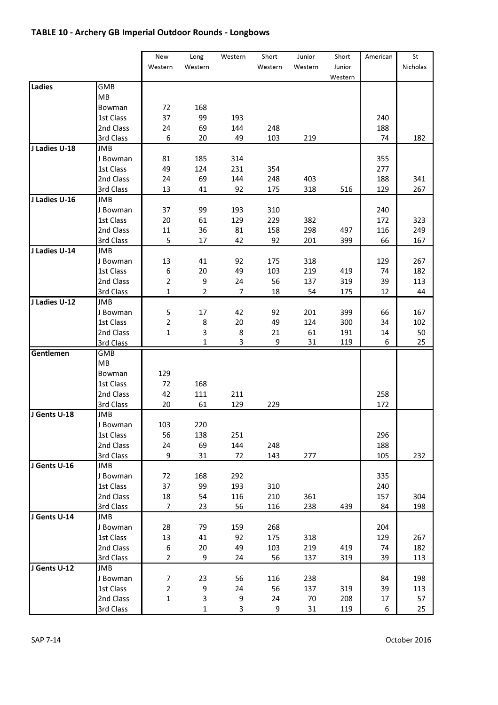# TABLE 10 - Archery GB Imperial Outdoor Rounds - Longbows

|               |            | New          | Long           | Western | Short   | Junior  | Short   | American | St       |
|---------------|------------|--------------|----------------|---------|---------|---------|---------|----------|----------|
|               |            | Western      | Western        |         | Western | Western | Junior  |          | Nicholas |
|               |            |              |                |         |         |         | Western |          |          |
| Ladies        | GMB        |              |                |         |         |         |         |          |          |
|               | MB         |              |                |         |         |         |         |          |          |
|               | Bowman     | 72           | 168            |         |         |         |         |          |          |
|               | 1st Class  | 37           | 99             | 193     |         |         |         | 240      |          |
|               | 2nd Class  | 24           | 69             | 144     | 248     |         |         | 188      |          |
|               | 3rd Class  | 6            | 20             | 49      | 103     | 219     |         | 74       | 182      |
| J Ladies U-18 | JMB        |              |                |         |         |         |         |          |          |
|               | J Bowman   | 81           | 185            | 314     |         |         |         | 355      |          |
|               | 1st Class  | 49           | 124            | 231     | 354     |         |         | 277      |          |
|               | 2nd Class  | 24           | 69             | 144     | 248     | 403     |         | 188      | 341      |
|               | 3rd Class  | 13           | 41             | 92      | 175     | 318     | 516     | 129      | 267      |
| J Ladies U-16 | <b>JMB</b> |              |                |         |         |         |         |          |          |
|               | J Bowman   | 37           | 99             | 193     | 310     |         |         | 240      |          |
|               | 1st Class  | 20           | 61             | 129     | 229     | 382     |         | 172      | 323      |
|               | 2nd Class  | 11           | 36             | 81      | 158     | 298     | 497     | 116      | 249      |
|               | 3rd Class  | 5            | 17             | 42      | 92      | 201     | 399     | 66       | 167      |
| J Ladies U-14 | JMB        |              |                |         |         |         |         |          |          |
|               | J Bowman   | 13           | 41             | 92      | 175     | 318     |         | 129      | 267      |
|               | 1st Class  | 6            | 20             | 49      | 103     | 219     | 419     | 74       | 182      |
|               | 2nd Class  | 2            | 9              | 24      | 56      | 137     | 319     | 39       | 113      |
|               | 3rd Class  | 1            | $\overline{2}$ | 7       | 18      | 54      | 175     | 12       | 44       |
| J Ladies U-12 | <b>JMB</b> |              |                |         |         |         |         |          |          |
|               | J Bowman   | 5            | 17             | 42      | 92      | 201     | 399     | 66       | 167      |
|               | 1st Class  | 2            | 8              | 20      | 49      | 124     | 300     | 34       | 102      |
|               | 2nd Class  | $\mathbf{1}$ | 3              | 8       | 21      | 61      | 191     | 14       | 50       |
|               | 3rd Class  |              | 1              | 3       | 9       | 31      | 119     | 6        | 25       |
| Gentlemen     | <b>GMB</b> |              |                |         |         |         |         |          |          |
|               | MB         |              |                |         |         |         |         |          |          |
|               | Bowman     | 129          |                |         |         |         |         |          |          |
|               | 1st Class  | 72           | 168            |         |         |         |         |          |          |
|               | 2nd Class  | 42           | 111            | 211     |         |         |         | 258      |          |
|               | 3rd Class  | 20           | 61             | 129     | 229     |         |         | 172      |          |
| J Gents U-18  | JMB        |              |                |         |         |         |         |          |          |
|               | J Bowman   | 103          | 220            |         |         |         |         |          |          |
|               | 1st Class  | 56           | 138            | 251     |         |         |         | 296      |          |
|               | 2nd Class  | 24           | 69             | 144     | 248     |         |         | 188      |          |
|               | 3rd Class  | 9            | 31             | 72      | 143     | 277     |         | 105      | 232      |
| J Gents U-16  | JMB        |              |                |         |         |         |         |          |          |
|               | J Bowman   | 72           | 168            | 292     |         |         |         | 335      |          |
|               | 1st Class  | 37           | 99             | 193     | 310     |         |         | 240      |          |
|               | 2nd Class  | 18           | 54             | 116     | 210     | 361     |         | 157      | 304      |
|               | 3rd Class  | 7            | 23             | 56      | 116     | 238     | 439     | 84       | 198      |
| J Gents U-14  | JMB        |              |                |         |         |         |         |          |          |
|               | J Bowman   | 28           | 79             | 159     | 268     |         |         | 204      |          |
|               | 1st Class  | 13           | 41             | 92      | 175     | 318     |         | 129      | 267      |
|               | 2nd Class  | 6            | 20             | 49      | 103     | 219     | 419     | 74       | 182      |
|               | 3rd Class  | 2            | 9              | 24      | 56      | 137     | 319     | 39       | 113      |
| J Gents U-12  | <b>JMB</b> |              |                |         |         |         |         |          |          |
|               | J Bowman   | 7            | 23             | 56      | 116     | 238     |         | 84       | 198      |
|               | 1st Class  | 2            | 9              | 24      | 56      | 137     | 319     | 39       | 113      |
|               | 2nd Class  | $\mathbf 1$  | 3              | 9       | 24      | 70      | 208     | 17       | 57       |
|               | 3rd Class  |              | $\mathbf{1}$   | 3       | 9       | 31      | 119     | 6        | 25       |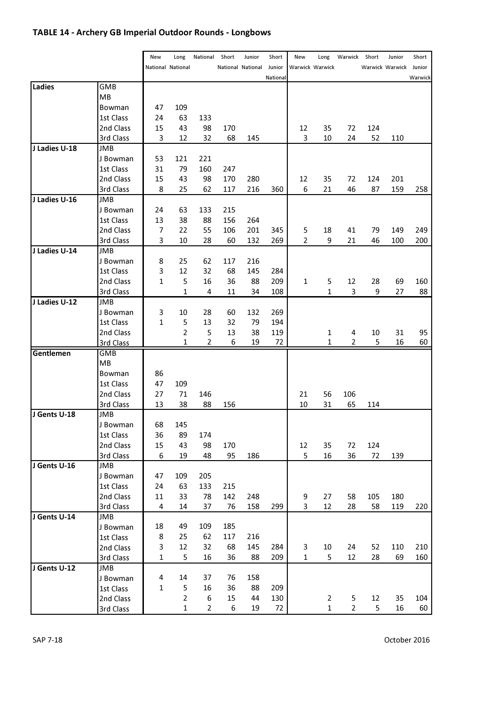# TABLE 14 - Archery GB Imperial Outdoor Rounds - Longbows

|               |            | New          | Long              | National       | Short | Junior            | Short    | New            | Long            | Warwick | Short | Junior          | Short   |
|---------------|------------|--------------|-------------------|----------------|-------|-------------------|----------|----------------|-----------------|---------|-------|-----------------|---------|
|               |            |              | National National |                |       | National National | Junior   |                | Warwick Warwick |         |       | Warwick Warwick | Junior  |
|               |            |              |                   |                |       |                   | National |                |                 |         |       |                 | Warwick |
| Ladies        | GMB        |              |                   |                |       |                   |          |                |                 |         |       |                 |         |
|               | MB         |              |                   |                |       |                   |          |                |                 |         |       |                 |         |
|               | Bowman     | 47           | 109               |                |       |                   |          |                |                 |         |       |                 |         |
|               | 1st Class  | 24           | 63                | 133            |       |                   |          |                |                 |         |       |                 |         |
|               | 2nd Class  | 15           | 43                | 98             | 170   |                   |          | 12             | 35              | 72      | 124   |                 |         |
|               | 3rd Class  | 3            | 12                | 32             | 68    | 145               |          | 3              | 10              | 24      | 52    | 110             |         |
| J Ladies U-18 | JMB        |              |                   |                |       |                   |          |                |                 |         |       |                 |         |
|               | J Bowman   | 53           | 121               | 221            |       |                   |          |                |                 |         |       |                 |         |
|               | 1st Class  | 31           | 79                | 160            | 247   |                   |          |                |                 |         |       |                 |         |
|               | 2nd Class  | 15           | 43                | 98             | 170   | 280               |          | 12             | 35              | 72      | 124   | 201             |         |
|               | 3rd Class  | 8            | 25                | 62             | 117   | 216               | 360      | 6              | 21              | 46      | 87    | 159             | 258     |
| J Ladies U-16 | <b>JMB</b> |              |                   |                |       |                   |          |                |                 |         |       |                 |         |
|               | J Bowman   | 24           | 63                | 133            | 215   |                   |          |                |                 |         |       |                 |         |
|               | 1st Class  | 13           | 38                | 88             | 156   | 264               |          |                |                 |         |       |                 |         |
|               | 2nd Class  | 7            | 22                | 55             | 106   | 201               | 345      | 5              | 18              | 41      | 79    | 149             | 249     |
|               | 3rd Class  | 3            | 10                | 28             | 60    | 132               | 269      | $\overline{2}$ | 9               | 21      | 46    | 100             | 200     |
| J Ladies U-14 | JMB        |              |                   |                |       |                   |          |                |                 |         |       |                 |         |
|               | J Bowman   | 8            | 25                | 62             | 117   | 216               |          |                |                 |         |       |                 |         |
|               | 1st Class  | 3            | 12                | 32             | 68    | 145               | 284      |                |                 |         |       |                 |         |
|               | 2nd Class  | $\mathbf{1}$ | 5                 | 16             | 36    | 88                | 209      | $\mathbf{1}$   | 5               | 12      | 28    | 69              | 160     |
|               | 3rd Class  |              | 1                 | 4              | 11    | 34                | 108      |                | 1               | 3       | 9     | 27              | 88      |
| J Ladies U-12 | <b>JMB</b> |              |                   |                |       |                   |          |                |                 |         |       |                 |         |
|               | J Bowman   | 3            | 10                | 28             | 60    | 132               | 269      |                |                 |         |       |                 |         |
|               | 1st Class  | $\mathbf{1}$ | 5                 | 13             | 32    | 79                | 194      |                |                 |         |       |                 |         |
|               | 2nd Class  |              | $\overline{2}$    | 5              | 13    | 38                | 119      |                | 1               | 4       | 10    | 31              | 95      |
|               | 3rd Class  |              | 1                 | $\overline{2}$ | 6     | 19                | 72       |                | 1               | 2       | 5     | 16              | 60      |
| Gentlemen     | GMB        |              |                   |                |       |                   |          |                |                 |         |       |                 |         |
|               | MB         |              |                   |                |       |                   |          |                |                 |         |       |                 |         |
|               | Bowman     | 86           |                   |                |       |                   |          |                |                 |         |       |                 |         |
|               | 1st Class  | 47           | 109               |                |       |                   |          |                |                 |         |       |                 |         |
|               | 2nd Class  | 27           | 71                | 146            |       |                   |          | 21             | 56              | 106     |       |                 |         |
|               | 3rd Class  | 13           | 38                | 88             | 156   |                   |          | 10             | 31              | 65      | 114   |                 |         |
| J Gents U-18  | <b>JMB</b> |              |                   |                |       |                   |          |                |                 |         |       |                 |         |
|               | J Bowman   | 68           | 145               |                |       |                   |          |                |                 |         |       |                 |         |
|               | 1st Class  | 36           | 89                | 174            |       |                   |          |                |                 |         |       |                 |         |
|               | 2nd Class  | 15           | 43                | 98             | 170   |                   |          | 12             | 35              | 72      | 124   |                 |         |
|               | 3rd Class  | 6            | 19                | 48             | 95    | 186               |          | 5              | 16              | 36      | 72    | 139             |         |
| J Gents U-16  | <b>JMB</b> |              |                   |                |       |                   |          |                |                 |         |       |                 |         |
|               | J Bowman   | 47           | 109               | 205            |       |                   |          |                |                 |         |       |                 |         |
|               | 1st Class  | 24           | 63                | 133            | 215   |                   |          |                |                 |         |       |                 |         |
|               | 2nd Class  | 11           | 33                | 78             | 142   | 248               |          | 9              | 27              | 58      | 105   | 180             |         |
|               | 3rd Class  | 4            | 14                | 37             | 76    | 158               | 299      | 3              | 12              | 28      | 58    | 119             | 220     |
| J Gents U-14  | JMB        |              |                   |                |       |                   |          |                |                 |         |       |                 |         |
|               | J Bowman   | 18           | 49                | 109            | 185   |                   |          |                |                 |         |       |                 |         |
|               | 1st Class  | 8            | 25                | 62             | 117   | 216               |          |                |                 |         |       |                 |         |
|               | 2nd Class  | 3            | 12                | 32             | 68    | 145               | 284      | 3              | 10              | 24      | 52    | 110             | 210     |
|               | 3rd Class  | $\mathbf 1$  | 5                 | 16             | 36    | 88                | 209      | 1              | 5               | 12      | 28    | 69              | 160     |
| J Gents U-12  | <b>JMB</b> |              |                   |                |       |                   |          |                |                 |         |       |                 |         |
|               | J Bowman   | 4            | 14                | 37             | 76    | 158               |          |                |                 |         |       |                 |         |
|               | 1st Class  | 1            | 5                 | 16             | 36    | 88                | 209      |                |                 |         |       |                 |         |
|               | 2nd Class  |              | $\overline{2}$    | 6              | 15    | 44                | 130      |                | 2               | 5       | 12    | 35              | 104     |
|               | 3rd Class  |              | $\mathbf{1}$      | $\overline{2}$ | 6     | 19                | 72       |                | $\mathbf{1}$    | 2       | 5     | 16              | 60      |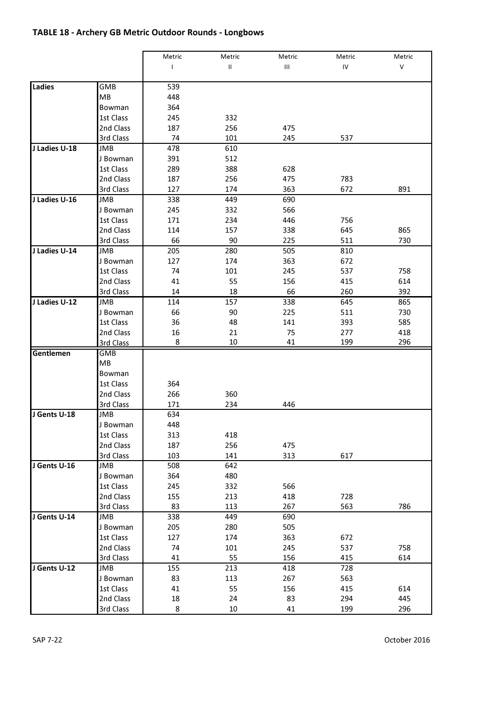# TABLE 18 - Archery GB Metric Outdoor Rounds - Longbows

|               |            | Metric | Metric        | Metric | Metric | Metric |
|---------------|------------|--------|---------------|--------|--------|--------|
|               |            | L      | $\mathsf{II}$ | Ш      | IV     | V      |
|               |            |        |               |        |        |        |
| Ladies        | GMB        | 539    |               |        |        |        |
|               | MB         | 448    |               |        |        |        |
|               | Bowman     | 364    |               |        |        |        |
|               | 1st Class  | 245    | 332           |        |        |        |
|               | 2nd Class  | 187    | 256           | 475    |        |        |
|               | 3rd Class  | 74     | 101           | 245    | 537    |        |
| J Ladies U-18 | JMB        | 478    | 610           |        |        |        |
|               | J Bowman   | 391    | 512           |        |        |        |
|               | 1st Class  | 289    | 388           | 628    |        |        |
|               | 2nd Class  | 187    | 256           | 475    | 783    |        |
|               | 3rd Class  | 127    | 174           | 363    | 672    | 891    |
| J Ladies U-16 | JMB        | 338    | 449           | 690    |        |        |
|               | J Bowman   | 245    | 332           | 566    |        |        |
|               | 1st Class  | 171    | 234           | 446    | 756    |        |
|               | 2nd Class  | 114    | 157           | 338    | 645    | 865    |
|               | 3rd Class  | 66     | 90            | 225    | 511    | 730    |
| J Ladies U-14 | JMB        | 205    | 280           | 505    | 810    |        |
|               | J Bowman   | 127    | 174           | 363    | 672    |        |
|               | 1st Class  | 74     | 101           | 245    | 537    | 758    |
|               | 2nd Class  | 41     | 55            | 156    | 415    | 614    |
|               | 3rd Class  | 14     | 18            | 66     | 260    | 392    |
| J Ladies U-12 | JMB        | 114    | 157           | 338    | 645    | 865    |
|               | J Bowman   | 66     | 90            | 225    | 511    | 730    |
|               | 1st Class  | 36     | 48            | 141    | 393    | 585    |
|               | 2nd Class  | 16     | 21            | 75     | 277    | 418    |
|               | 3rd Class  | 8      | 10            | 41     | 199    | 296    |
| Gentlemen     | <b>GMB</b> |        |               |        |        |        |
|               | <b>MB</b>  |        |               |        |        |        |
|               | Bowman     |        |               |        |        |        |
|               | 1st Class  | 364    |               |        |        |        |
|               | 2nd Class  | 266    | 360           |        |        |        |
|               | 3rd Class  | 171    | 234           | 446    |        |        |
| J Gents U-18  | JMB        | 634    |               |        |        |        |
|               | J Bowman   | 448    |               |        |        |        |
|               | 1st Class  | 313    | 418           |        |        |        |
|               | 2nd Class  | 187    | 256           | 475    |        |        |
|               | 3rd Class  | 103    | 141           | 313    | 617    |        |
| J Gents U-16  | JMB        | 508    | 642           |        |        |        |
|               | J Bowman   | 364    | 480           |        |        |        |
|               | 1st Class  | 245    | 332           | 566    |        |        |
|               | 2nd Class  | 155    | 213           | 418    | 728    |        |
|               | 3rd Class  | 83     | 113           | 267    | 563    | 786    |
| J Gents U-14  | JMB        | 338    | 449           | 690    |        |        |
|               | J Bowman   | 205    | 280           | 505    |        |        |
|               | 1st Class  | 127    | 174           | 363    | 672    |        |
|               | 2nd Class  | 74     | 101           | 245    | 537    | 758    |
|               | 3rd Class  | 41     | 55            | 156    | 415    | 614    |
| J Gents U-12  | JMB        | 155    | 213           | 418    | 728    |        |
|               | J Bowman   | 83     | 113           | 267    | 563    |        |
|               | 1st Class  | 41     | 55            | 156    | 415    | 614    |
|               | 2nd Class  | 18     | 24            | 83     | 294    | 445    |
|               | 3rd Class  | 8      | 10            | 41     | 199    | 296    |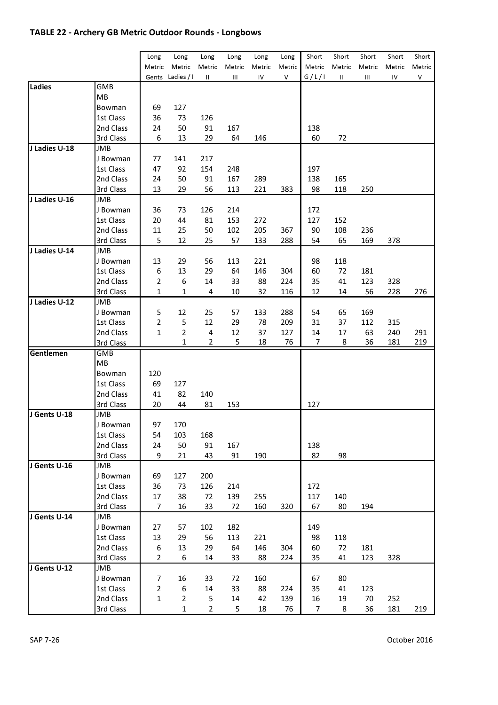### TABLE 22 - Archery GB Metric Outdoor Rounds - Longbows

|               |                       |                |                  |                |             |                |                | Short  |                 | Short  |                 | Short  |
|---------------|-----------------------|----------------|------------------|----------------|-------------|----------------|----------------|--------|-----------------|--------|-----------------|--------|
|               |                       | Long<br>Metric | Long<br>Metric   | Long<br>Metric | Long        | Long<br>Metric | Long<br>Metric | Metric | Short<br>Metric | Metric | Short<br>Metric | Metric |
|               |                       |                | Gents Ladies / I | Ш              | Metric<br>Ш | IV             | ٧              | G/L/I  | $\sf II$        | Ш      | IV              | ٧      |
| Ladies        | GMB                   |                |                  |                |             |                |                |        |                 |        |                 |        |
|               | MВ                    |                |                  |                |             |                |                |        |                 |        |                 |        |
|               | Bowman                | 69             | 127              |                |             |                |                |        |                 |        |                 |        |
|               | 1st Class             | 36             | 73               | 126            |             |                |                |        |                 |        |                 |        |
|               | 2nd Class             | 24             | 50               | 91             | 167         |                |                | 138    |                 |        |                 |        |
|               |                       | 6              |                  | 29             |             |                |                |        |                 |        |                 |        |
| J Ladies U-18 | 3rd Class<br>JMB      |                | 13               |                | 64          | 146            |                | 60     | 72              |        |                 |        |
|               |                       | 77             | 141              | 217            |             |                |                |        |                 |        |                 |        |
|               | J Bowman<br>1st Class | 47             | 92               | 154            | 248         |                |                | 197    |                 |        |                 |        |
|               |                       |                |                  |                |             |                |                |        |                 |        |                 |        |
|               | 2nd Class             | 24             | 50               | 91             | 167         | 289            |                | 138    | 165             |        |                 |        |
|               | 3rd Class             | 13             | 29               | 56             | 113         | 221            | 383            | 98     | 118             | 250    |                 |        |
| J Ladies U-16 | JMB                   |                |                  |                |             |                |                |        |                 |        |                 |        |
|               | J Bowman              | 36             | 73               | 126            | 214         |                |                | 172    |                 |        |                 |        |
|               | 1st Class             | 20             | 44               | 81             | 153         | 272            |                | 127    | 152             |        |                 |        |
|               | 2nd Class             | 11             | 25               | 50             | 102         | 205            | 367            | 90     | 108             | 236    |                 |        |
|               | 3rd Class             | 5              | 12               | 25             | 57          | 133            | 288            | 54     | 65              | 169    | 378             |        |
| J Ladies U-14 | JMB                   |                |                  |                |             |                |                |        |                 |        |                 |        |
|               | J Bowman              | 13             | 29               | 56             | 113         | 221            |                | 98     | 118             |        |                 |        |
|               | 1st Class             | 6              | 13               | 29             | 64          | 146            | 304            | 60     | 72              | 181    |                 |        |
|               | 2nd Class             | 2              | 6                | 14             | 33          | 88             | 224            | 35     | 41              | 123    | 328             |        |
|               | 3rd Class             | 1              | 1                | 4              | 10          | 32             | 116            | 12     | 14              | 56     | 228             | 276    |
| J Ladies U-12 | JMB                   |                |                  |                |             |                |                |        |                 |        |                 |        |
|               | J Bowman              | 5              | 12               | 25             | 57          | 133            | 288            | 54     | 65              | 169    |                 |        |
|               | 1st Class             | 2              | 5                | 12             | 29          | 78             | 209            | 31     | 37              | 112    | 315             |        |
|               | 2nd Class             | 1              | $\overline{2}$   | 4              | 12          | 37             | 127            | 14     | 17              | 63     | 240             | 291    |
|               | 3rd Class             |                | 1                | 2              | 5           | 18             | 76             | 7      | 8               | 36     | 181             | 219    |
| Gentlemen     | <b>GMB</b>            |                |                  |                |             |                |                |        |                 |        |                 |        |
|               | МB                    |                |                  |                |             |                |                |        |                 |        |                 |        |
|               | Bowman                | 120            |                  |                |             |                |                |        |                 |        |                 |        |
|               | 1st Class             | 69             | 127              |                |             |                |                |        |                 |        |                 |        |
|               | 2nd Class             | 41             | 82               | 140            |             |                |                |        |                 |        |                 |        |
|               | 3rd Class             | 20             | 44               | 81             | 153         |                |                | 127    |                 |        |                 |        |
| J Gents U-18  | JMB                   |                |                  |                |             |                |                |        |                 |        |                 |        |
|               | J Bowman              | 97             | 170              |                |             |                |                |        |                 |        |                 |        |
|               | 1st Class             | 54             | 103              | 168            |             |                |                |        |                 |        |                 |        |
|               | 2nd Class             | 24             | 50               | 91             | 167         |                |                | 138    |                 |        |                 |        |
|               | 3rd Class             | 9              | 21               | 43             | 91          | 190            |                | 82     | 98              |        |                 |        |
| J Gents U-16  | JMB                   |                |                  |                |             |                |                |        |                 |        |                 |        |
|               | J Bowman              | 69             | 127              | 200            |             |                |                |        |                 |        |                 |        |
|               | 1st Class             | 36             | 73               | 126            | 214         |                |                | 172    |                 |        |                 |        |
|               | 2nd Class             | 17             | 38               | 72             | 139         | 255            |                | 117    | 140             |        |                 |        |
|               | 3rd Class             | 7              | 16               | 33             | 72          | 160            | 320            | 67     | 80              | 194    |                 |        |
| J Gents U-14  | JMB                   |                |                  |                |             |                |                |        |                 |        |                 |        |
|               | J Bowman              | 27             | 57               | 102            | 182         |                |                | 149    |                 |        |                 |        |
|               | 1st Class             | 13             | 29               | 56             | 113         | 221            |                | 98     | 118             |        |                 |        |
|               | 2nd Class             | 6              | 13               | 29             | 64          | 146            | 304            | 60     | 72              | 181    |                 |        |
|               | 3rd Class             | 2              | 6                | 14             | 33          | 88             | 224            | 35     | 41              | 123    | 328             |        |
| J Gents U-12  | JMB                   |                |                  |                |             |                |                |        |                 |        |                 |        |
|               | J Bowman              | 7              | 16               | 33             | 72          | 160            |                | 67     | 80              |        |                 |        |
|               | 1st Class             | 2              | 6                | 14             | 33          | 88             | 224            | 35     | 41              | 123    |                 |        |
|               | 2nd Class             | 1              | $\overline{2}$   | 5              | 14          | 42             | 139            | 16     | 19              | 70     | 252             |        |
|               | 3rd Class             |                | 1                | $\overline{2}$ | 5           | 18             | 76             | 7      | 8               | 36     | 181             | 219    |